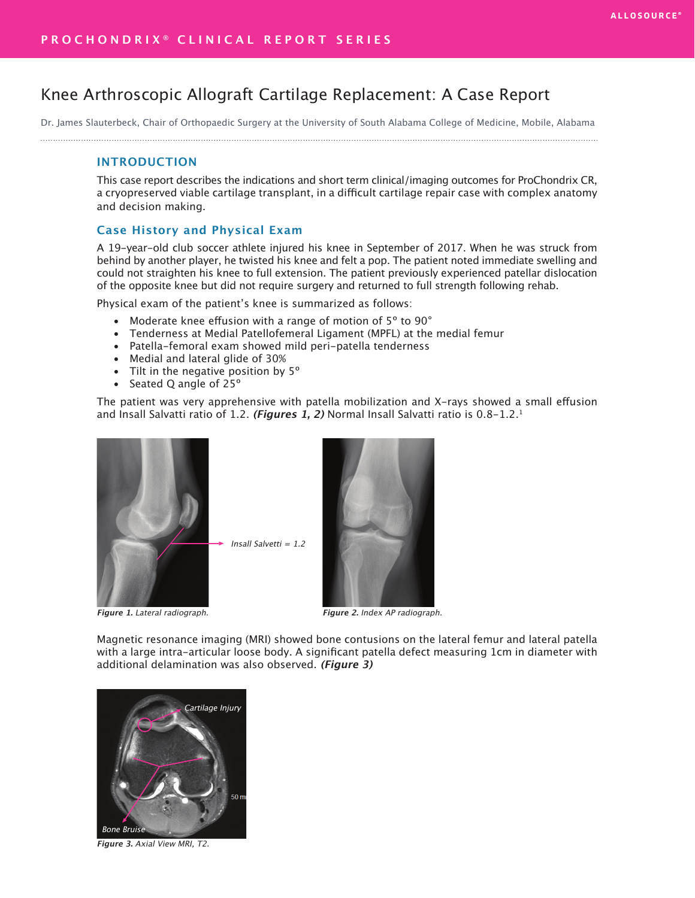# Knee Arthroscopic Allograft Cartilage Replacement: A Case Report

Dr. James Slauterbeck, Chair of Orthopaedic Surgery at the University of South Alabama College of Medicine, Mobile, Alabama 

## **INTRODUCTION**

This case report describes the indications and short term clinical/imaging outcomes for ProChondrix CR, a cryopreserved viable cartilage transplant, in a difficult cartilage repair case with complex anatomy and decision making.

# **Case History and Physical Exam**

A 19-year-old club soccer athlete injured his knee in September of 2017. When he was struck from behind by another player, he twisted his knee and felt a pop. The patient noted immediate swelling and could not straighten his knee to full extension. The patient previously experienced patellar dislocation of the opposite knee but did not require surgery and returned to full strength following rehab.

Physical exam of the patient's knee is summarized as follows:

- Moderate knee effusion with a range of motion of 5º to 90°
- Tenderness at Medial Patellofemeral Ligament (MPFL) at the medial femur
- Patella-femoral exam showed mild peri-patella tenderness
- Medial and lateral glide of 30%
- Tilt in the negative position by 5<sup>°</sup>
- Seated Q angle of 25º

The patient was very apprehensive with patella mobilization and X-rays showed a small effusion and Insall Salvatti ratio of 1.2. **(Figures 1, 2)** Normal Insall Salvatti ratio is 0.8-1.2.1



**Figure 1.** Lateral radiograph.



**Figure 2.** Index AP radiograph.

Magnetic resonance imaging (MRI) showed bone contusions on the lateral femur and lateral patella with a large intra-articular loose body. A significant patella defect measuring 1cm in diameter with additional delamination was also observed. **(Figure 3)**



**Figure 3.** Axial View MRI, T2.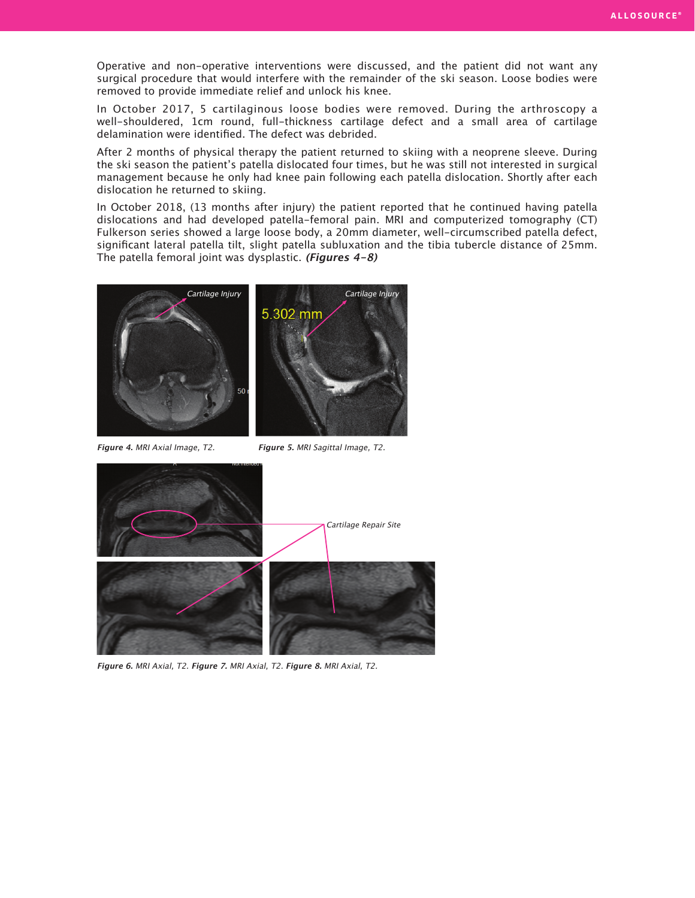Operative and non-operative interventions were discussed, and the patient did not want any surgical procedure that would interfere with the remainder of the ski season. Loose bodies were removed to provide immediate relief and unlock his knee.

In October 2017, 5 cartilaginous loose bodies were removed. During the arthroscopy a well-shouldered, 1cm round, full-thickness cartilage defect and a small area of cartilage delamination were identified. The defect was debrided.

After 2 months of physical therapy the patient returned to skiing with a neoprene sleeve. During the ski season the patient's patella dislocated four times, but he was still not interested in surgical management because he only had knee pain following each patella dislocation. Shortly after each dislocation he returned to skiing.

In October 2018, (13 months after injury) the patient reported that he continued having patella dislocations and had developed patella-femoral pain. MRI and computerized tomography (CT) Fulkerson series showed a large loose body, a 20mm diameter, well-circumscribed patella defect, significant lateral patella tilt, slight patella subluxation and the tibia tubercle distance of 25mm. The patella femoral joint was dysplastic. **(Figures 4-8)**



**Figure 4.** MRI Axial Image, T2.

**Figure 5.** MRI Sagittal Image, T2.



**Figure 6.** MRI Axial, T2. **Figure 7.** MRI Axial, T2. **Figure 8.** MRI Axial, T2.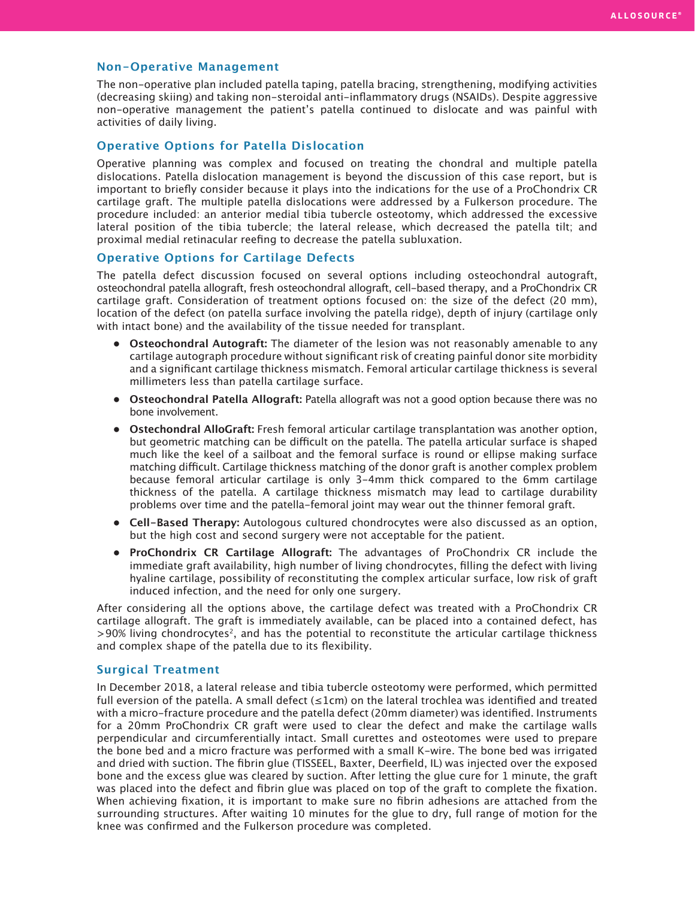# **Non-Operative Management**

The non-operative plan included patella taping, patella bracing, strengthening, modifying activities (decreasing skiing) and taking non-steroidal anti-inflammatory drugs (NSAIDs). Despite aggressive non-operative management the patient's patella continued to dislocate and was painful with activities of daily living.

## **Operative Options for Patella Dislocation**

Operative planning was complex and focused on treating the chondral and multiple patella dislocations. Patella dislocation management is beyond the discussion of this case report, but is important to briefly consider because it plays into the indications for the use of a ProChondrix CR cartilage graft. The multiple patella dislocations were addressed by a Fulkerson procedure. The procedure included: an anterior medial tibia tubercle osteotomy, which addressed the excessive lateral position of the tibia tubercle; the lateral release, which decreased the patella tilt; and proximal medial retinacular reefing to decrease the patella subluxation.

# **Operative Options for Cartilage Defects**

The patella defect discussion focused on several options including osteochondral autograft, osteochondral patella allograft, fresh osteochondral allograft, cell-based therapy, and a ProChondrix CR cartilage graft. Consideration of treatment options focused on: the size of the defect (20 mm), location of the defect (on patella surface involving the patella ridge), depth of injury (cartilage only with intact bone) and the availability of the tissue needed for transplant.

- **• Osteochondral Autograft:** The diameter of the lesion was not reasonably amenable to any cartilage autograph procedure without significant risk of creating painful donor site morbidity and a significant cartilage thickness mismatch. Femoral articular cartilage thickness is several millimeters less than patella cartilage surface.
- **• Osteochondral Patella Allograft:** Patella allograft was not a good option because there was no bone involvement.
- **• Ostechondral AlloGraft:** Fresh femoral articular cartilage transplantation was another option, but geometric matching can be difficult on the patella. The patella articular surface is shaped much like the keel of a sailboat and the femoral surface is round or ellipse making surface matching difficult. Cartilage thickness matching of the donor graft is another complex problem because femoral articular cartilage is only 3-4mm thick compared to the 6mm cartilage thickness of the patella. A cartilage thickness mismatch may lead to cartilage durability problems over time and the patella-femoral joint may wear out the thinner femoral graft.
- **• Cell-Based Therapy:** Autologous cultured chondrocytes were also discussed as an option, but the high cost and second surgery were not acceptable for the patient.
- **• ProChondrix CR Cartilage Allograft:** The advantages of ProChondrix CR include the immediate graft availability, high number of living chondrocytes, filling the defect with living hyaline cartilage, possibility of reconstituting the complex articular surface, low risk of graft induced infection, and the need for only one surgery.

After considering all the options above, the cartilage defect was treated with a ProChondrix CR cartilage allograft. The graft is immediately available, can be placed into a contained defect, has >90% living chondrocytes2, and has the potential to reconstitute the articular cartilage thickness and complex shape of the patella due to its flexibility.

#### **Surgical Treatment**

In December 2018, a lateral release and tibia tubercle osteotomy were performed, which permitted full eversion of the patella. A small defect ( $\leq 1$ cm) on the lateral trochlea was identified and treated with a micro-fracture procedure and the patella defect (20mm diameter) was identified. Instruments for a 20mm ProChondrix CR graft were used to clear the defect and make the cartilage walls perpendicular and circumferentially intact. Small curettes and osteotomes were used to prepare the bone bed and a micro fracture was performed with a small K-wire. The bone bed was irrigated and dried with suction. The fibrin glue (TISSEEL, Baxter, Deerfield, IL) was injected over the exposed bone and the excess glue was cleared by suction. After letting the glue cure for 1 minute, the graft was placed into the defect and fibrin glue was placed on top of the graft to complete the fixation. When achieving fixation, it is important to make sure no fibrin adhesions are attached from the surrounding structures. After waiting 10 minutes for the glue to dry, full range of motion for the knee was confirmed and the Fulkerson procedure was completed.